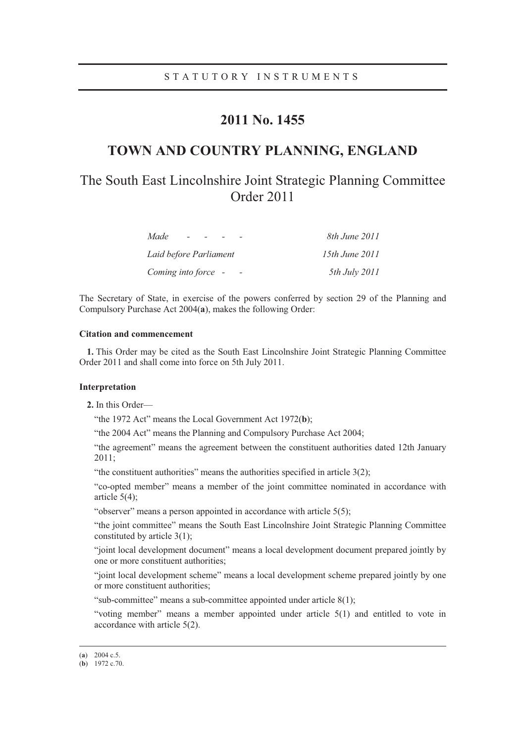## **2011 No. 1455**

## **TOWN AND COUNTRY PLANNING, ENGLAND**

# The South East Lincolnshire Joint Strategic Planning Committee Order 2011

| Made<br>$\sim$         | 8th June 2011  |
|------------------------|----------------|
| Laid before Parliament | 15th June 2011 |
| Coming into force –    | 5th July 2011  |

The Secretary of State, in exercise of the powers conferred by section 29 of the Planning and Compulsory Purchase Act 2004(**a**), makes the following Order:

### **Citation and commencement**

**1.** This Order may be cited as the South East Lincolnshire Joint Strategic Planning Committee Order 2011 and shall come into force on 5th July 2011.

### **Interpretation**

**2.** In this Order—

"the 1972 Act" means the Local Government Act 1972(**b**);

"the 2004 Act" means the Planning and Compulsory Purchase Act 2004;

"the agreement" means the agreement between the constituent authorities dated 12th January 2011;

"the constituent authorities" means the authorities specified in article 3(2);

"co-opted member" means a member of the joint committee nominated in accordance with article 5(4);

"observer" means a person appointed in accordance with article 5(5);

"the joint committee" means the South East Lincolnshire Joint Strategic Planning Committee constituted by article 3(1);

"joint local development document" means a local development document prepared jointly by one or more constituent authorities;

"joint local development scheme" means a local development scheme prepared jointly by one or more constituent authorities;

"sub-committee" means a sub-committee appointed under article 8(1);

"voting member" means a member appointed under article 5(1) and entitled to vote in accordance with article 5(2).

 <sup>(</sup>**a**) 2004 c.5.

<sup>(</sup>**b**) 1972 c.70.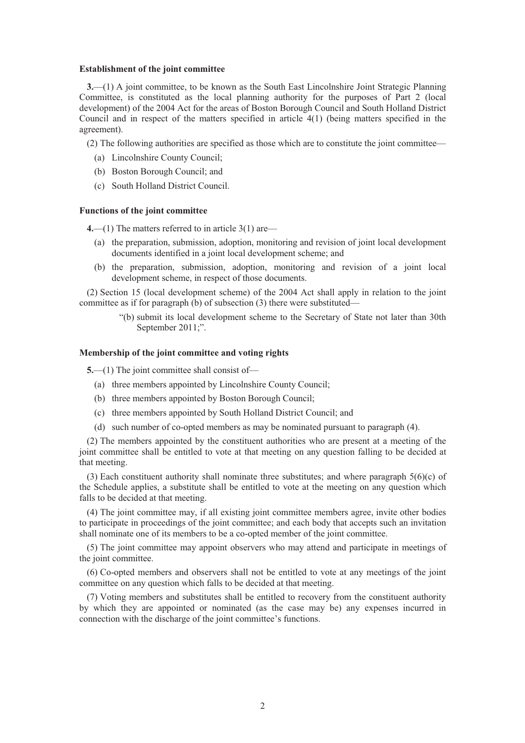#### **Establishment of the joint committee**

**3.**—(1) A joint committee, to be known as the South East Lincolnshire Joint Strategic Planning Committee, is constituted as the local planning authority for the purposes of Part 2 (local development) of the 2004 Act for the areas of Boston Borough Council and South Holland District Council and in respect of the matters specified in article 4(1) (being matters specified in the agreement).

(2) The following authorities are specified as those which are to constitute the joint committee—

- (a) Lincolnshire County Council;
- (b) Boston Borough Council; and
- (c) South Holland District Council.

### **Functions of the joint committee**

**4.**—(1) The matters referred to in article 3(1) are—

- (a) the preparation, submission, adoption, monitoring and revision of joint local development documents identified in a joint local development scheme; and
- (b) the preparation, submission, adoption, monitoring and revision of a joint local development scheme, in respect of those documents.

(2) Section 15 (local development scheme) of the 2004 Act shall apply in relation to the joint committee as if for paragraph (b) of subsection (3) there were substituted—

> "(b) submit its local development scheme to the Secretary of State not later than 30th September 2011;".

### **Membership of the joint committee and voting rights**

**5.**—(1) The joint committee shall consist of—

- (a) three members appointed by Lincolnshire County Council;
- (b) three members appointed by Boston Borough Council;
- (c) three members appointed by South Holland District Council; and
- (d) such number of co-opted members as may be nominated pursuant to paragraph (4).

(2) The members appointed by the constituent authorities who are present at a meeting of the joint committee shall be entitled to vote at that meeting on any question falling to be decided at that meeting.

(3) Each constituent authority shall nominate three substitutes; and where paragraph  $5(6)(c)$  of the Schedule applies, a substitute shall be entitled to vote at the meeting on any question which falls to be decided at that meeting.

(4) The joint committee may, if all existing joint committee members agree, invite other bodies to participate in proceedings of the joint committee; and each body that accepts such an invitation shall nominate one of its members to be a co-opted member of the joint committee.

(5) The joint committee may appoint observers who may attend and participate in meetings of the joint committee.

(6) Co-opted members and observers shall not be entitled to vote at any meetings of the joint committee on any question which falls to be decided at that meeting.

(7) Voting members and substitutes shall be entitled to recovery from the constituent authority by which they are appointed or nominated (as the case may be) any expenses incurred in connection with the discharge of the joint committee's functions.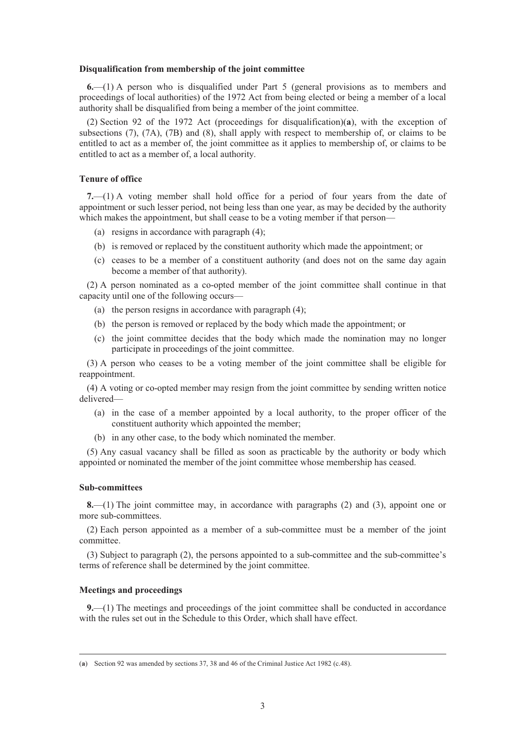#### **Disqualification from membership of the joint committee**

**6.**—(1) A person who is disqualified under Part 5 (general provisions as to members and proceedings of local authorities) of the 1972 Act from being elected or being a member of a local authority shall be disqualified from being a member of the joint committee.

(2) Section 92 of the 1972 Act (proceedings for disqualification)(**a**), with the exception of subsections (7), (7A), (7B) and (8), shall apply with respect to membership of, or claims to be entitled to act as a member of, the joint committee as it applies to membership of, or claims to be entitled to act as a member of, a local authority.

### **Tenure of office**

**7.**—(1) A voting member shall hold office for a period of four years from the date of appointment or such lesser period, not being less than one year, as may be decided by the authority which makes the appointment, but shall cease to be a voting member if that person—

- (a) resigns in accordance with paragraph (4);
- (b) is removed or replaced by the constituent authority which made the appointment; or
- (c) ceases to be a member of a constituent authority (and does not on the same day again become a member of that authority).

(2) A person nominated as a co-opted member of the joint committee shall continue in that capacity until one of the following occurs—

- (a) the person resigns in accordance with paragraph (4);
- (b) the person is removed or replaced by the body which made the appointment; or
- (c) the joint committee decides that the body which made the nomination may no longer participate in proceedings of the joint committee.

(3) A person who ceases to be a voting member of the joint committee shall be eligible for reappointment.

(4) A voting or co-opted member may resign from the joint committee by sending written notice delivered—

- (a) in the case of a member appointed by a local authority, to the proper officer of the constituent authority which appointed the member;
- (b) in any other case, to the body which nominated the member.

(5) Any casual vacancy shall be filled as soon as practicable by the authority or body which appointed or nominated the member of the joint committee whose membership has ceased.

### **Sub-committees**

**8.**—(1) The joint committee may, in accordance with paragraphs (2) and (3), appoint one or more sub-committees.

(2) Each person appointed as a member of a sub-committee must be a member of the joint committee.

(3) Subject to paragraph (2), the persons appointed to a sub-committee and the sub-committee's terms of reference shall be determined by the joint committee.

### **Meetings and proceedings**

**9.**—(1) The meetings and proceedings of the joint committee shall be conducted in accordance with the rules set out in the Schedule to this Order, which shall have effect.

 <sup>(</sup>**a**) Section 92 was amended by sections 37, 38 and 46 of the Criminal Justice Act 1982 (c.48).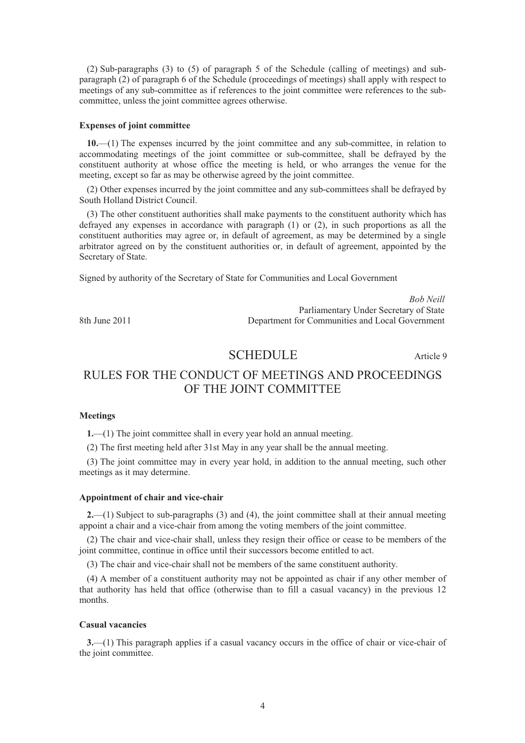(2) Sub-paragraphs (3) to (5) of paragraph 5 of the Schedule (calling of meetings) and subparagraph (2) of paragraph 6 of the Schedule (proceedings of meetings) shall apply with respect to meetings of any sub-committee as if references to the joint committee were references to the subcommittee, unless the joint committee agrees otherwise.

### **Expenses of joint committee**

**10.**—(1) The expenses incurred by the joint committee and any sub-committee, in relation to accommodating meetings of the joint committee or sub-committee, shall be defrayed by the constituent authority at whose office the meeting is held, or who arranges the venue for the meeting, except so far as may be otherwise agreed by the joint committee.

(2) Other expenses incurred by the joint committee and any sub-committees shall be defrayed by South Holland District Council.

(3) The other constituent authorities shall make payments to the constituent authority which has defrayed any expenses in accordance with paragraph  $(1)$  or  $(2)$ , in such proportions as all the constituent authorities may agree or, in default of agreement, as may be determined by a single arbitrator agreed on by the constituent authorities or, in default of agreement, appointed by the Secretary of State.

Signed by authority of the Secretary of State for Communities and Local Government

*Bob Neill* Parliamentary Under Secretary of State 8th June 2011 Department for Communities and Local Government

### SCHEDULE Article 9

## RULES FOR THE CONDUCT OF MEETINGS AND PROCEEDINGS OF THE JOINT COMMITTEE

### **Meetings**

**1.**—(1) The joint committee shall in every year hold an annual meeting.

(2) The first meeting held after 31st May in any year shall be the annual meeting.

(3) The joint committee may in every year hold, in addition to the annual meeting, such other meetings as it may determine.

### **Appointment of chair and vice-chair**

**2.**—(1) Subject to sub-paragraphs (3) and (4), the joint committee shall at their annual meeting appoint a chair and a vice-chair from among the voting members of the joint committee.

(2) The chair and vice-chair shall, unless they resign their office or cease to be members of the joint committee, continue in office until their successors become entitled to act.

(3) The chair and vice-chair shall not be members of the same constituent authority.

(4) A member of a constituent authority may not be appointed as chair if any other member of that authority has held that office (otherwise than to fill a casual vacancy) in the previous 12 months.

### **Casual vacancies**

**3.**—(1) This paragraph applies if a casual vacancy occurs in the office of chair or vice-chair of the joint committee.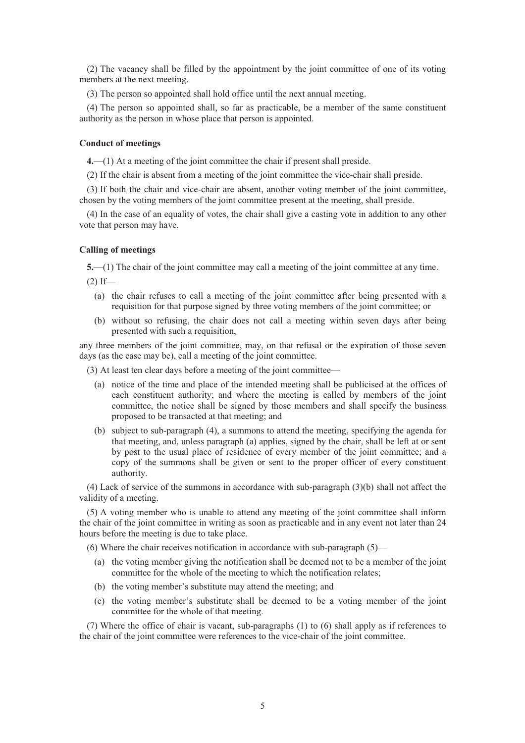(2) The vacancy shall be filled by the appointment by the joint committee of one of its voting members at the next meeting.

(3) The person so appointed shall hold office until the next annual meeting.

(4) The person so appointed shall, so far as practicable, be a member of the same constituent authority as the person in whose place that person is appointed.

### **Conduct of meetings**

**4.**—(1) At a meeting of the joint committee the chair if present shall preside.

(2) If the chair is absent from a meeting of the joint committee the vice-chair shall preside.

(3) If both the chair and vice-chair are absent, another voting member of the joint committee, chosen by the voting members of the joint committee present at the meeting, shall preside.

(4) In the case of an equality of votes, the chair shall give a casting vote in addition to any other vote that person may have.

### **Calling of meetings**

**5.**—(1) The chair of the joint committee may call a meeting of the joint committee at any time.  $(2)$  If—

- (a) the chair refuses to call a meeting of the joint committee after being presented with a requisition for that purpose signed by three voting members of the joint committee; or
- (b) without so refusing, the chair does not call a meeting within seven days after being presented with such a requisition,

any three members of the joint committee, may, on that refusal or the expiration of those seven days (as the case may be), call a meeting of the joint committee.

(3) At least ten clear days before a meeting of the joint committee—

- (a) notice of the time and place of the intended meeting shall be publicised at the offices of each constituent authority; and where the meeting is called by members of the joint committee, the notice shall be signed by those members and shall specify the business proposed to be transacted at that meeting; and
- (b) subject to sub-paragraph (4), a summons to attend the meeting, specifying the agenda for that meeting, and, unless paragraph (a) applies, signed by the chair, shall be left at or sent by post to the usual place of residence of every member of the joint committee; and a copy of the summons shall be given or sent to the proper officer of every constituent authority.

(4) Lack of service of the summons in accordance with sub-paragraph (3)(b) shall not affect the validity of a meeting.

(5) A voting member who is unable to attend any meeting of the joint committee shall inform the chair of the joint committee in writing as soon as practicable and in any event not later than 24 hours before the meeting is due to take place.

(6) Where the chair receives notification in accordance with sub-paragraph (5)—

- (a) the voting member giving the notification shall be deemed not to be a member of the joint committee for the whole of the meeting to which the notification relates;
- (b) the voting member's substitute may attend the meeting; and
- (c) the voting member's substitute shall be deemed to be a voting member of the joint committee for the whole of that meeting.

(7) Where the office of chair is vacant, sub-paragraphs (1) to (6) shall apply as if references to the chair of the joint committee were references to the vice-chair of the joint committee.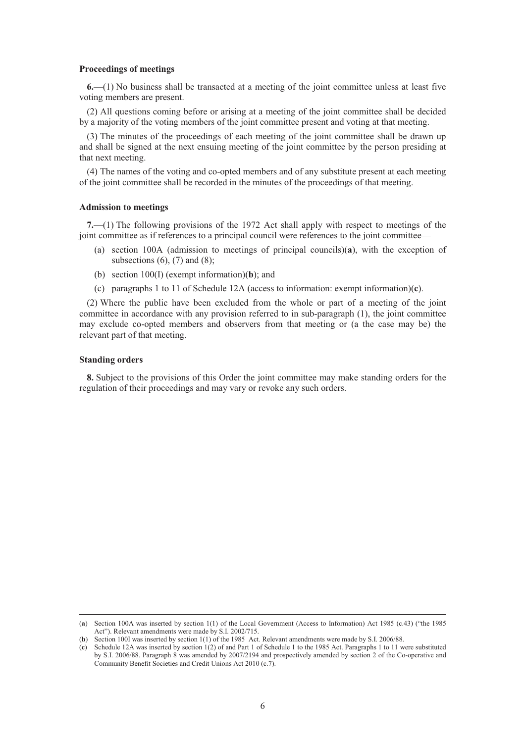#### **Proceedings of meetings**

**6.**—(1) No business shall be transacted at a meeting of the joint committee unless at least five voting members are present.

(2) All questions coming before or arising at a meeting of the joint committee shall be decided by a majority of the voting members of the joint committee present and voting at that meeting.

(3) The minutes of the proceedings of each meeting of the joint committee shall be drawn up and shall be signed at the next ensuing meeting of the joint committee by the person presiding at that next meeting.

(4) The names of the voting and co-opted members and of any substitute present at each meeting of the joint committee shall be recorded in the minutes of the proceedings of that meeting.

### **Admission to meetings**

**7.**—(1) The following provisions of the 1972 Act shall apply with respect to meetings of the joint committee as if references to a principal council were references to the joint committee—

- (a) section 100A (admission to meetings of principal councils)(**a**), with the exception of subsections  $(6)$ ,  $(7)$  and  $(8)$ ;
- (b) section 100(I) (exempt information)(**b**); and
- (c) paragraphs 1 to 11 of Schedule 12A (access to information: exempt information)(**c**).

(2) Where the public have been excluded from the whole or part of a meeting of the joint committee in accordance with any provision referred to in sub-paragraph (1), the joint committee may exclude co-opted members and observers from that meeting or (a the case may be) the relevant part of that meeting.

### **Standing orders**

**8.** Subject to the provisions of this Order the joint committee may make standing orders for the regulation of their proceedings and may vary or revoke any such orders.

 <sup>(</sup>**a**) Section 100A was inserted by section 1(1) of the Local Government (Access to Information) Act 1985 (c.43) ("the 1985 Act"). Relevant amendments were made by S.I. 2002/715.

<sup>(</sup>**b**) Section 100I was inserted by section 1(1) of the 1985 Act. Relevant amendments were made by S.I. 2006/88.

<sup>(</sup>**c**) Schedule 12A was inserted by section 1(2) of and Part 1 of Schedule 1 to the 1985 Act. Paragraphs 1 to 11 were substituted by S.I. 2006/88. Paragraph 8 was amended by 2007/2194 and prospectively amended by section 2 of the Co-operative and Community Benefit Societies and Credit Unions Act 2010 (c.7).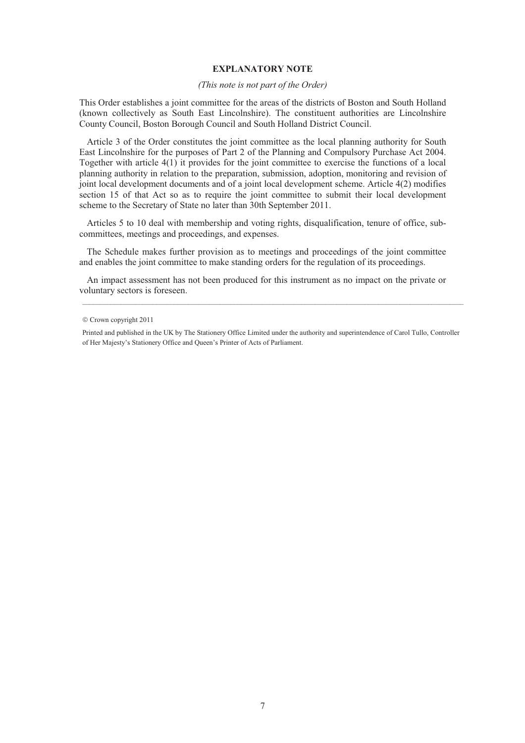### **EXPLANATORY NOTE**

### *(This note is not part of the Order)*

This Order establishes a joint committee for the areas of the districts of Boston and South Holland (known collectively as South East Lincolnshire). The constituent authorities are Lincolnshire County Council, Boston Borough Council and South Holland District Council.

Article 3 of the Order constitutes the joint committee as the local planning authority for South East Lincolnshire for the purposes of Part 2 of the Planning and Compulsory Purchase Act 2004. Together with article 4(1) it provides for the joint committee to exercise the functions of a local planning authority in relation to the preparation, submission, adoption, monitoring and revision of joint local development documents and of a joint local development scheme. Article 4(2) modifies section 15 of that Act so as to require the joint committee to submit their local development scheme to the Secretary of State no later than 30th September 2011.

Articles 5 to 10 deal with membership and voting rights, disqualification, tenure of office, subcommittees, meetings and proceedings, and expenses.

The Schedule makes further provision as to meetings and proceedings of the joint committee and enables the joint committee to make standing orders for the regulation of its proceedings.

An impact assessment has not been produced for this instrument as no impact on the private or voluntary sectors is foreseen.

 $©$  Crown copyright 2011

Printed and published in the UK by The Stationery Office Limited under the authority and superintendence of Carol Tullo, Controller of Her Majesty's Stationery Office and Queen's Printer of Acts of Parliament.